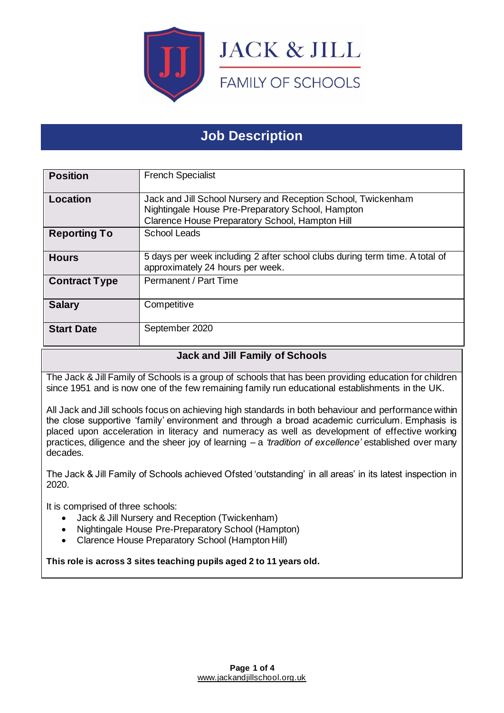

# **Job Description**

| <b>Position</b>      | <b>French Specialist</b>                                                                                                                                              |
|----------------------|-----------------------------------------------------------------------------------------------------------------------------------------------------------------------|
| Location             | Jack and Jill School Nursery and Reception School, Twickenham<br>Nightingale House Pre-Preparatory School, Hampton<br>Clarence House Preparatory School, Hampton Hill |
| <b>Reporting To</b>  | <b>School Leads</b>                                                                                                                                                   |
| <b>Hours</b>         | 5 days per week including 2 after school clubs during term time. A total of<br>approximately 24 hours per week.                                                       |
| <b>Contract Type</b> | Permanent / Part Time                                                                                                                                                 |
| <b>Salary</b>        | Competitive                                                                                                                                                           |
| <b>Start Date</b>    | September 2020                                                                                                                                                        |

# **Jack and Jill Family of Schools**

The Jack & Jill Family of Schools is a group of schools that has been providing education for children since 1951 and is now one of the few remaining family run educational establishments in the UK.

All Jack and Jill schools focus on achieving high standards in both behaviour and performance within the close supportive 'family' environment and through a broad academic curriculum. Emphasis is placed upon acceleration in literacy and numeracy as well as development of effective working practices, diligence and the sheer joy of learning – a *'tradition of excellence'* established over many decades.

The Jack & Jill Family of Schools achieved Ofsted 'outstanding' in all areas' in its latest inspection in 2020.

It is comprised of three schools:

- Jack & Jill Nursery and Reception (Twickenham)
- Nightingale House Pre-Preparatory School (Hampton)
- Clarence House Preparatory School (Hampton Hill)

**This role is across 3 sites teaching pupils aged 2 to 11 years old.**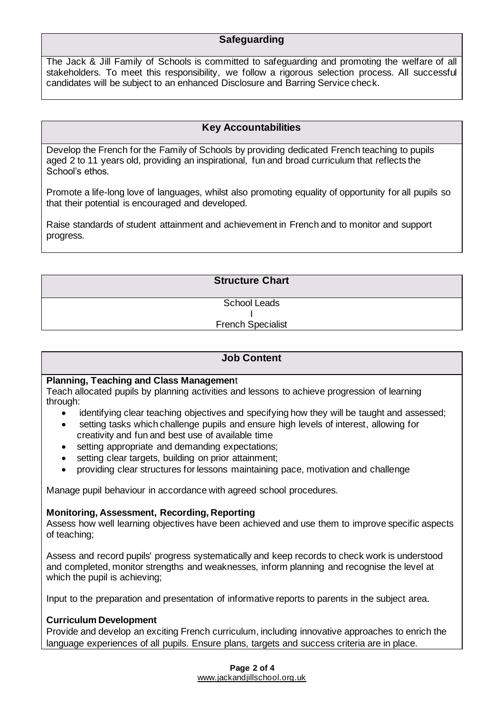## **Safeguarding**

The Jack & Jill Family of Schools is committed to safeguarding and promoting the welfare of all stakeholders. To meet this responsibility, we follow a rigorous selection process. All successful candidates will be subject to an enhanced Disclosure and Barring Service check.

#### **Key Accountabilities**

Develop the French for the Family of Schools by providing dedicated French teaching to pupils aged 2 to 11 years old, providing an inspirational, fun and broad curriculum that reflects the School's ethos.

Promote a life-long love of languages, whilst also promoting equality of opportunity for all pupils so that their potential is encouraged and developed.

Raise standards of student attainment and achievement in French and to monitor and support progress.

> **Structure Chart** School Leads I

#### French Specialist

#### **Job Content**

#### **Planning, Teaching and Class Managemen**t

Teach allocated pupils by planning activities and lessons to achieve progression of learning through:

- identifying clear teaching objectives and specifying how they will be taught and assessed;
- setting tasks which challenge pupils and ensure high levels of interest, allowing for creativity and fun and best use of available time
- setting appropriate and demanding expectations;
- setting clear targets, building on prior attainment;
- providing clear structures for lessons maintaining pace, motivation and challenge

Manage pupil behaviour in accordance with agreed school procedures.

#### **Monitoring, Assessment, Recording, Reporting**

Assess how well learning objectives have been achieved and use them to improve specific aspects of teaching;

Assess and record pupils' progress systematically and keep records to check work is understood and completed, monitor strengths and weaknesses, inform planning and recognise the level at which the pupil is achieving;

Input to the preparation and presentation of informative reports to parents in the subject area.

#### **Curriculum Development**

Provide and develop an exciting French curriculum, including innovative approaches to enrich the language experiences of all pupils. Ensure plans, targets and success criteria are in place.

> **Page 2 of 4** [www.jackandjillschool.org.uk](http://www.jackandjillschool.org.uk/)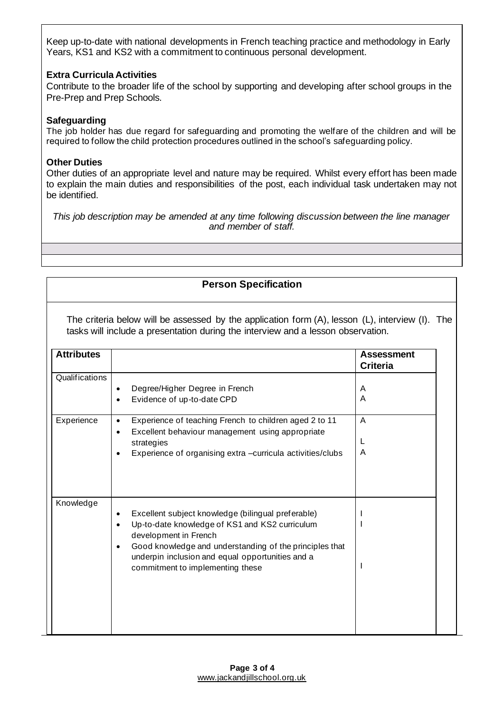Keep up-to-date with national developments in French teaching practice and methodology in Early Years, KS1 and KS2 with a commitment to continuous personal development.

#### **Extra Curricula Activities**

Contribute to the broader life of the school by supporting and developing after school groups in the Pre-Prep and Prep Schools.

#### **Safeguarding**

The job holder has due regard for safeguarding and promoting the welfare of the children and will be required to follow the child protection procedures outlined in the school's safeguarding policy.

#### **Other Duties**

Other duties of an appropriate level and nature may be required. Whilst every effort has been made to explain the main duties and responsibilities of the post, each individual task undertaken may not be identified.

*This job description may be amended at any time following discussion between the line manager and member of staff.*

## **Person Specification**

The criteria below will be assessed by the application form (A), lesson (L), interview (I). The tasks will include a presentation during the interview and a lesson observation.

| <b>Attributes</b> |                                                                                                                                                                                                                                                                                                                         | <b>Assessment</b><br><b>Criteria</b> |
|-------------------|-------------------------------------------------------------------------------------------------------------------------------------------------------------------------------------------------------------------------------------------------------------------------------------------------------------------------|--------------------------------------|
| Qualifications    | Degree/Higher Degree in French<br>$\bullet$<br>Evidence of up-to-date CPD<br>$\bullet$                                                                                                                                                                                                                                  | A<br>A                               |
| Experience        | Experience of teaching French to children aged 2 to 11<br>$\bullet$<br>Excellent behaviour management using appropriate<br>$\bullet$<br>strategies<br>Experience of organising extra -curricula activities/clubs                                                                                                        | A<br>L<br>A                          |
| Knowledge         | Excellent subject knowledge (bilingual preferable)<br>$\bullet$<br>Up-to-date knowledge of KS1 and KS2 curriculum<br>$\bullet$<br>development in French<br>Good knowledge and understanding of the principles that<br>$\bullet$<br>underpin inclusion and equal opportunities and a<br>commitment to implementing these |                                      |